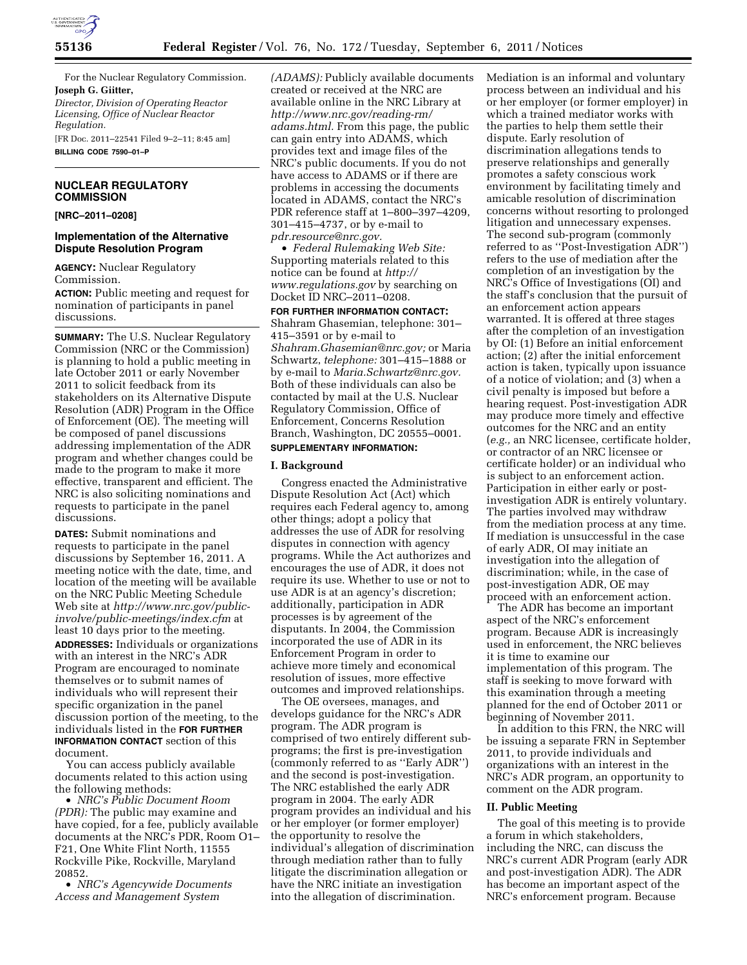

For the Nuclear Regulatory Commission. **Joseph G. Giitter,**  *Director, Division of Operating Reactor Licensing, Office of Nuclear Reactor* 

*Regulation.*  [FR Doc. 2011–22541 Filed 9–2–11; 8:45 am]

**BILLING CODE 7590–01–P** 

### **NUCLEAR REGULATORY COMMISSION**

**[NRC–2011–0208]** 

### **Implementation of the Alternative Dispute Resolution Program**

**AGENCY:** Nuclear Regulatory Commission.

**ACTION:** Public meeting and request for nomination of participants in panel discussions.

**SUMMARY:** The U.S. Nuclear Regulatory Commission (NRC or the Commission) is planning to hold a public meeting in late October 2011 or early November 2011 to solicit feedback from its stakeholders on its Alternative Dispute Resolution (ADR) Program in the Office of Enforcement (OE). The meeting will be composed of panel discussions addressing implementation of the ADR program and whether changes could be made to the program to make it more effective, transparent and efficient. The NRC is also soliciting nominations and requests to participate in the panel discussions.

**DATES:** Submit nominations and requests to participate in the panel discussions by September 16, 2011. A meeting notice with the date, time, and location of the meeting will be available on the NRC Public Meeting Schedule Web site at *[http://www.nrc.gov/public](http://www.nrc.gov/public-involve/public-meetings/index.cfm)[involve/public-meetings/index.cfm](http://www.nrc.gov/public-involve/public-meetings/index.cfm)* at least 10 days prior to the meeting. **ADDRESSES:** Individuals or organizations with an interest in the NRC's ADR Program are encouraged to nominate themselves or to submit names of individuals who will represent their specific organization in the panel discussion portion of the meeting, to the individuals listed in the **FOR FURTHER INFORMATION CONTACT** section of this document.

You can access publicly available documents related to this action using the following methods:

• *NRC's Public Document Room (PDR):* The public may examine and have copied, for a fee, publicly available documents at the NRC's PDR, Room O1– F21, One White Flint North, 11555 Rockville Pike, Rockville, Maryland 20852.

• *NRC's Agencywide Documents Access and Management System* 

*(ADAMS):* Publicly available documents created or received at the NRC are available online in the NRC Library at *[http://www.nrc.gov/reading-rm/](http://www.nrc.gov/reading-rm/adams.html)  [adams.html.](http://www.nrc.gov/reading-rm/adams.html)* From this page, the public can gain entry into ADAMS, which provides text and image files of the NRC's public documents. If you do not have access to ADAMS or if there are problems in accessing the documents located in ADAMS, contact the NRC's PDR reference staff at 1–800–397–4209, 301–415–4737, or by e-mail to *[pdr.resource@nrc.gov.](mailto:pdr.resource@nrc.gov)* 

• *Federal Rulemaking Web Site:*  Supporting materials related to this notice can be found at *[http://](http://www.regulations.gov) [www.regulations.gov](http://www.regulations.gov)* by searching on Docket ID NRC–2011–0208.

**FOR FURTHER INFORMATION CONTACT:**  Shahram Ghasemian, telephone: 301– 415–3591 or by e-mail to *[Shahram.Ghasemian@nrc.gov;](mailto:Shahram.Ghasemian@nrc.gov)* or Maria Schwartz, *telephone:* 301–415–1888 or by e-mail to *[Maria.Schwartz@nrc.gov.](mailto:Maria.Schwartz@nrc.gov)*  Both of these individuals can also be contacted by mail at the U.S. Nuclear Regulatory Commission, Office of Enforcement, Concerns Resolution Branch, Washington, DC 20555–0001.

# **SUPPLEMENTARY INFORMATION:**

#### **I. Background**

Congress enacted the Administrative Dispute Resolution Act (Act) which requires each Federal agency to, among other things; adopt a policy that addresses the use of ADR for resolving disputes in connection with agency programs. While the Act authorizes and encourages the use of ADR, it does not require its use. Whether to use or not to use ADR is at an agency's discretion; additionally, participation in ADR processes is by agreement of the disputants. In 2004, the Commission incorporated the use of ADR in its Enforcement Program in order to achieve more timely and economical resolution of issues, more effective outcomes and improved relationships.

The OE oversees, manages, and develops guidance for the NRC's ADR program. The ADR program is comprised of two entirely different subprograms; the first is pre-investigation (commonly referred to as ''Early ADR'') and the second is post-investigation. The NRC established the early ADR program in 2004. The early ADR program provides an individual and his or her employer (or former employer) the opportunity to resolve the individual's allegation of discrimination through mediation rather than to fully litigate the discrimination allegation or have the NRC initiate an investigation into the allegation of discrimination.

Mediation is an informal and voluntary process between an individual and his or her employer (or former employer) in which a trained mediator works with the parties to help them settle their dispute. Early resolution of discrimination allegations tends to preserve relationships and generally promotes a safety conscious work environment by facilitating timely and amicable resolution of discrimination concerns without resorting to prolonged litigation and unnecessary expenses. The second sub-program (commonly referred to as ''Post-Investigation ADR'') refers to the use of mediation after the completion of an investigation by the NRC's Office of Investigations (OI) and the staff's conclusion that the pursuit of an enforcement action appears warranted. It is offered at three stages after the completion of an investigation by OI: (1) Before an initial enforcement action; (2) after the initial enforcement action is taken, typically upon issuance of a notice of violation; and (3) when a civil penalty is imposed but before a hearing request. Post-investigation ADR may produce more timely and effective outcomes for the NRC and an entity (*e.g.,* an NRC licensee, certificate holder, or contractor of an NRC licensee or certificate holder) or an individual who is subject to an enforcement action. Participation in either early or postinvestigation ADR is entirely voluntary. The parties involved may withdraw from the mediation process at any time. If mediation is unsuccessful in the case of early ADR, OI may initiate an investigation into the allegation of discrimination; while, in the case of post-investigation ADR, OE may proceed with an enforcement action.

The ADR has become an important aspect of the NRC's enforcement program. Because ADR is increasingly used in enforcement, the NRC believes it is time to examine our implementation of this program. The staff is seeking to move forward with this examination through a meeting planned for the end of October 2011 or beginning of November 2011.

In addition to this FRN, the NRC will be issuing a separate FRN in September 2011, to provide individuals and organizations with an interest in the NRC's ADR program, an opportunity to comment on the ADR program.

#### **II. Public Meeting**

The goal of this meeting is to provide a forum in which stakeholders, including the NRC, can discuss the NRC's current ADR Program (early ADR and post-investigation ADR). The ADR has become an important aspect of the NRC's enforcement program. Because